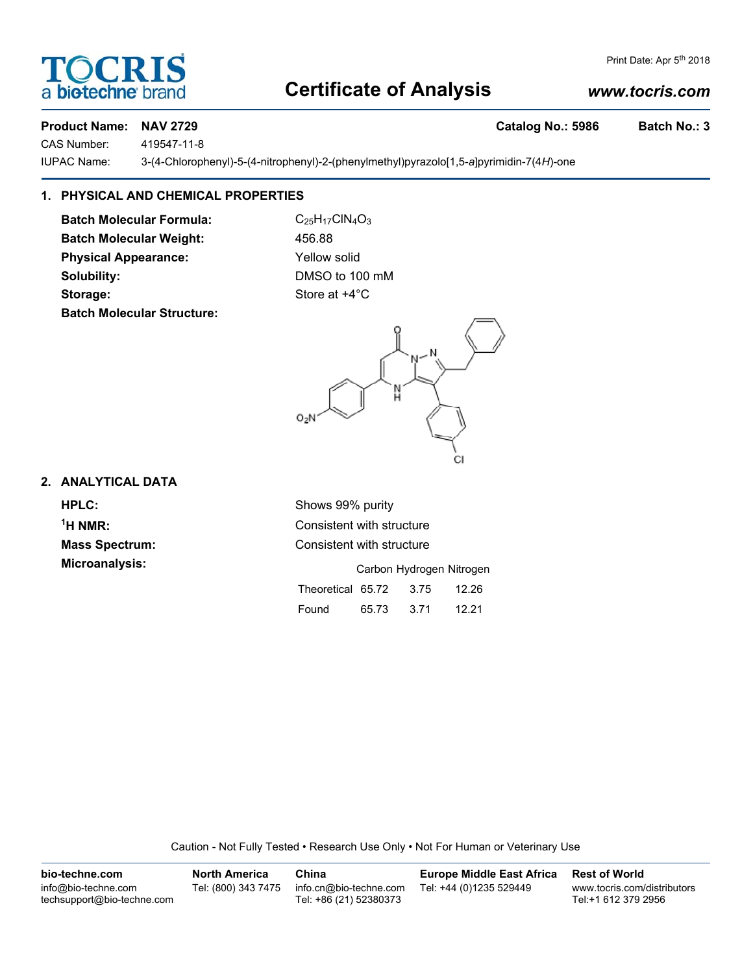# **Certificate of Analysis**

## *www.tocris.com*

### **Product Name: NAV 2729 Catalog No.: 5986 Batch No.: 3**

CAS Number: 419547-11-8

IUPAC Name: 3-(4-Chlorophenyl)-5-(4-nitrophenyl)-2-(phenylmethyl)pyrazolo[1,5-*a*]pyrimidin-7(4*H*)-one

# **1. PHYSICAL AND CHEMICAL PROPERTIES**

**Batch Molecular Formula:** C<sub>25</sub>H<sub>17</sub>ClN<sub>4</sub>O<sub>3</sub> **Batch Molecular Weight:** 456.88 **Physical Appearance:** Yellow solid **Solubility:** DMSO to 100 mM **Storage:** Store at  $+4^{\circ}$ C **Batch Molecular Structure:**



# **2. ANALYTICAL DATA**

 $<sup>1</sup>H NMR$ :</sup>

**HPLC:** Shows 99% purity **Consistent with structure Mass Spectrum:** Consistent with structure

| <b>Microanalysis:</b> |                        |       | Carbon Hydrogen Nitrogen |       |
|-----------------------|------------------------|-------|--------------------------|-------|
|                       | Theoretical 65.72 3.75 |       |                          | 12.26 |
|                       | Found                  | 65.73 | -3.71                    | 12.21 |

Caution - Not Fully Tested • Research Use Only • Not For Human or Veterinary Use

| bio-techne.com                                    | <b>North America</b> | China                                            | <b>Europe Middle East Africa</b> | <b>Rest of World</b>                               |
|---------------------------------------------------|----------------------|--------------------------------------------------|----------------------------------|----------------------------------------------------|
| info@bio-techne.com<br>techsupport@bio-techne.com | Tel: (800) 343 7475  | info.cn@bio-techne.com<br>Tel: +86 (21) 52380373 | Tel: +44 (0)1235 529449          | www.tocris.com/distributors<br>Tel:+1 612 379 2956 |



Print Date: Apr 5<sup>th</sup> 2018